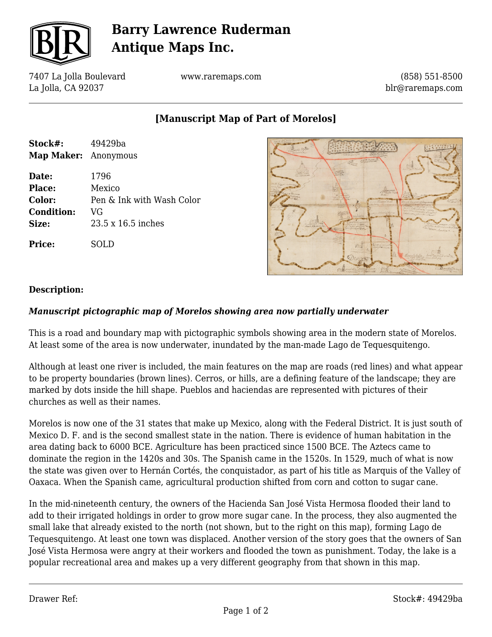

# **Barry Lawrence Ruderman Antique Maps Inc.**

7407 La Jolla Boulevard La Jolla, CA 92037

www.raremaps.com

(858) 551-8500 blr@raremaps.com

### **[Manuscript Map of Part of Morelos]**

| Stock#:              | 49429ba                   |
|----------------------|---------------------------|
| Map Maker: Anonymous |                           |
| Date:                | 1796                      |
| <b>Place:</b>        | Mexico                    |
| Color:               | Pen & Ink with Wash Color |
| <b>Condition:</b>    | VG                        |
| Size:                | 23.5 x 16.5 inches        |
| Price:               |                           |



#### **Description:**

#### *Manuscript pictographic map of Morelos showing area now partially underwater*

This is a road and boundary map with pictographic symbols showing area in the modern state of Morelos. At least some of the area is now underwater, inundated by the man-made Lago de Tequesquitengo.

Although at least one river is included, the main features on the map are roads (red lines) and what appear to be property boundaries (brown lines). Cerros, or hills, are a defining feature of the landscape; they are marked by dots inside the hill shape. Pueblos and haciendas are represented with pictures of their churches as well as their names.

Morelos is now one of the 31 states that make up Mexico, along with the Federal District. It is just south of Mexico D. F. and is the second smallest state in the nation. There is evidence of human habitation in the area dating back to 6000 BCE. Agriculture has been practiced since 1500 BCE. The Aztecs came to dominate the region in the 1420s and 30s. The Spanish came in the 1520s. In 1529, much of what is now the state was given over to Hernán Cortés, the conquistador, as part of his title as Marquis of the Valley of Oaxaca. When the Spanish came, agricultural production shifted from corn and cotton to sugar cane.

In the mid-nineteenth century, the owners of the Hacienda San José Vista Hermosa flooded their land to add to their irrigated holdings in order to grow more sugar cane. In the process, they also augmented the small lake that already existed to the north (not shown, but to the right on this map), forming Lago de Tequesquitengo. At least one town was displaced. Another version of the story goes that the owners of San José Vista Hermosa were angry at their workers and flooded the town as punishment. Today, the lake is a popular recreational area and makes up a very different geography from that shown in this map.